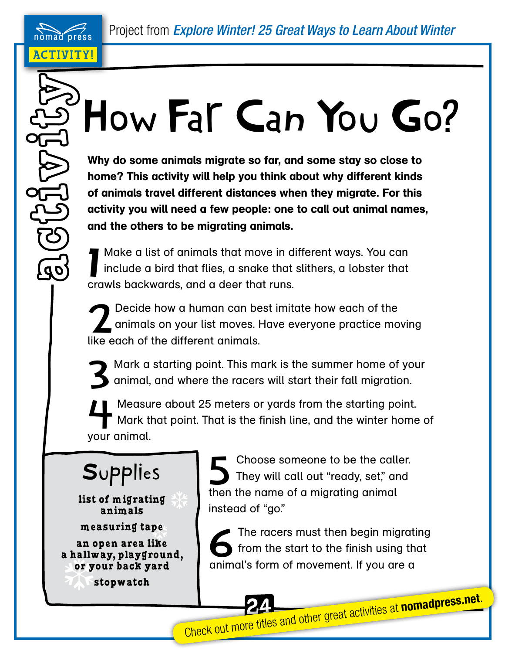(פס

## $\degree$  How Far Can You Go?

Why do some animals migrate so far, and some stay so close to home? This activity will help you think about why different kinds of animals travel different distances when they migrate. For this activity you will need a few people: one to call out animal names, and the others to be migrating animals.

1 Make a list of animals that move in different ways. You can include a bird that flies, a snake that slithers, a lobster that crawls backwards, and a deer that runs.

Decide how a human can best imitate how each of the<br>animals on your list moves. Have everyone practice mo animals on your list moves. Have everyone practice moving like each of the different animals.

Mark a starting point. This mark is the summer home of your<br>
3 animal, and where the racers will start their fall migration. animal, and where the racers will start their fall migration.

Measure about 25 meters or yards from the starting point.<br>Mark that point. That is the finish line, and the winter home Mark that point. That is the finish line, and the winter home of your animal.

## **Supplies**

**list of migrating animals** 

**measuring tape an open area like a hallway, playground, or your back yard**

**stopwatch**

Choose someone to be the caller.<br>They will call out "ready, set," and They will call out "ready, set," and then the name of a migrating animal instead of "go."

The racers must then begin migrating<br>from the start to the finish using that from the start to the finish using that animal's form of movement. If you are a

**Check out more titles and other great activities at nomadpress.net.**